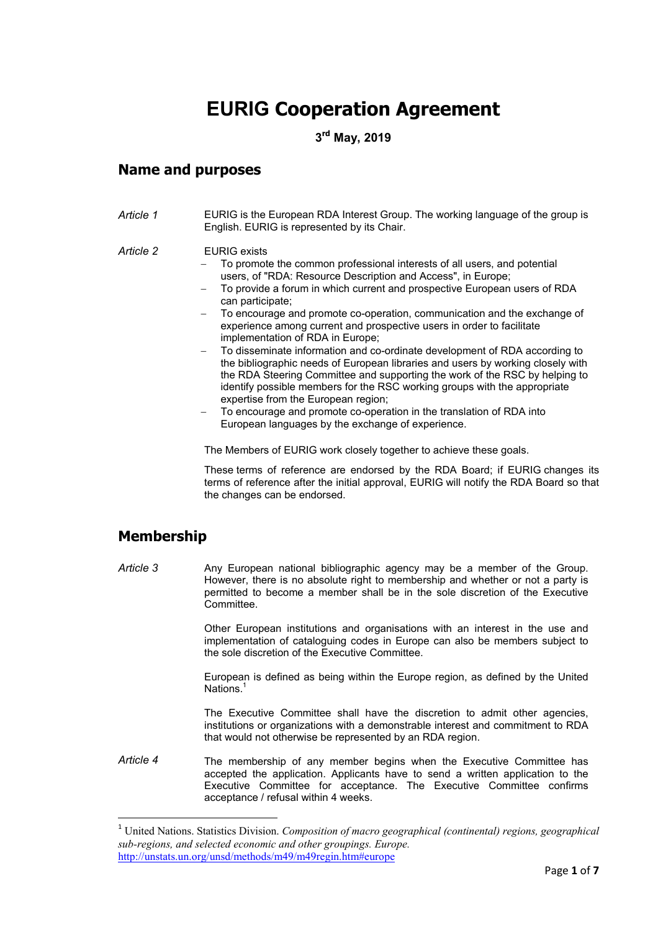# **EURIG Cooperation Agreement**

**3 rd May, 2019** 

### **Name and purposes**

*Article 1* EURIG is the European RDA Interest Group. The working language of the group is English. EURIG is represented by its Chair.

#### *Article 2* EURIG exists

- To promote the common professional interests of all users, and potential users, of "RDA: Resource Description and Access", in Europe;
- To provide a forum in which current and prospective European users of RDA can participate;
- To encourage and promote co-operation, communication and the exchange of experience among current and prospective users in order to facilitate implementation of RDA in Europe;
- − To disseminate information and co-ordinate development of RDA according to the bibliographic needs of European libraries and users by working closely with the RDA Steering Committee and supporting the work of the RSC by helping to identify possible members for the RSC working groups with the appropriate expertise from the European region;
- To encourage and promote co-operation in the translation of RDA into European languages by the exchange of experience.

The Members of EURIG work closely together to achieve these goals.

These terms of reference are endorsed by the RDA Board; if EURIG changes its terms of reference after the initial approval, EURIG will notify the RDA Board so that the changes can be endorsed.

# **Membership**

l

*Article 3* Any European national bibliographic agency may be a member of the Group. However, there is no absolute right to membership and whether or not a party is permitted to become a member shall be in the sole discretion of the Executive Committee.

> Other European institutions and organisations with an interest in the use and implementation of cataloguing codes in Europe can also be members subject to the sole discretion of the Executive Committee.

> European is defined as being within the Europe region, as defined by the United Nations.<sup>1</sup>

> The Executive Committee shall have the discretion to admit other agencies, institutions or organizations with a demonstrable interest and commitment to RDA that would not otherwise be represented by an RDA region.

*Article 4* The membership of any member begins when the Executive Committee has accepted the application. Applicants have to send a written application to the Executive Committee for acceptance. The Executive Committee confirms acceptance / refusal within 4 weeks.

<sup>1</sup> United Nations. Statistics Division. *Composition of macro geographical (continental) regions, geographical sub-regions, and selected economic and other groupings. Europe.*  http://unstats.un.org/unsd/methods/m49/m49regin.htm#europe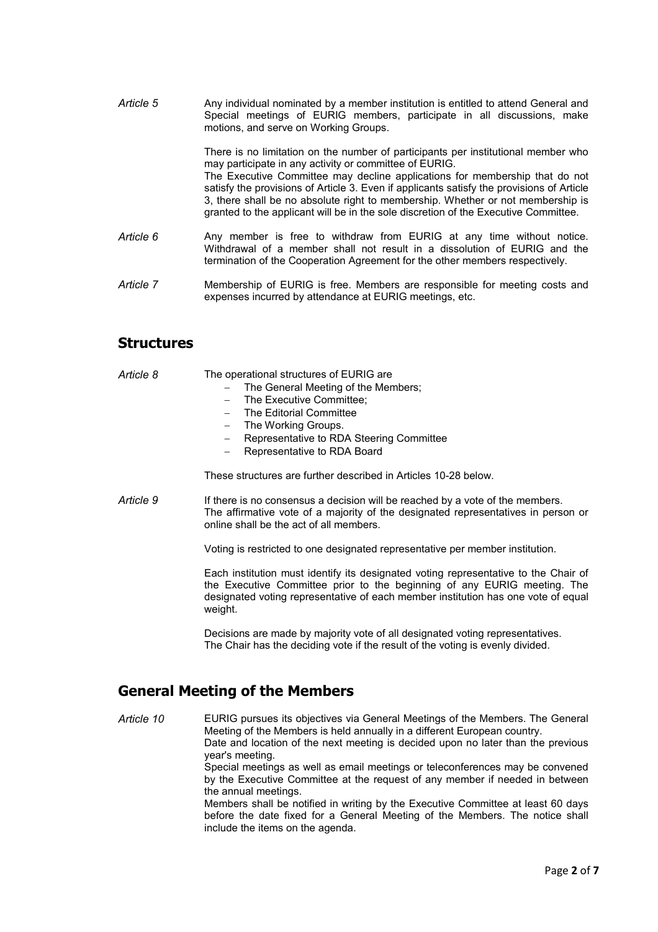Article 5 Any individual nominated by a member institution is entitled to attend General and Special meetings of EURIG members, participate in all discussions, make motions, and serve on Working Groups.

> There is no limitation on the number of participants per institutional member who may participate in any activity or committee of EURIG. The Executive Committee may decline applications for membership that do not satisfy the provisions of Article 3. Even if applicants satisfy the provisions of Article 3, there shall be no absolute right to membership. Whether or not membership is granted to the applicant will be in the sole discretion of the Executive Committee.

- *Article 6* Any member is free to withdraw from EURIG at any time without notice. Withdrawal of a member shall not result in a dissolution of EURIG and the termination of the Cooperation Agreement for the other members respectively.
- *Article 7* Membership of EURIG is free. Members are responsible for meeting costs and expenses incurred by attendance at EURIG meetings, etc.

### **Structures**

| Article 8 | The operational structures of EURIG are<br>The General Meeting of the Members;<br>- The Executive Committee:<br>The Editorial Committee<br>The Working Groups.<br>$\overline{\phantom{0}}$<br>Representative to RDA Steering Committee<br>$-$<br>Representative to RDA Board<br>These structures are further described in Articles 10-28 below. |
|-----------|-------------------------------------------------------------------------------------------------------------------------------------------------------------------------------------------------------------------------------------------------------------------------------------------------------------------------------------------------|
| Article 9 | If there is no consensus a decision will be reached by a vote of the members.<br>The affirmative vote of a majority of the designated representatives in person or<br>online shall be the act of all members.<br>Voting is restricted to one designated representative per member institution.                                                  |
|           | Each institution must identify its designated voting representative to the Chair of<br>the Executive Committee prior to the beginning of any EURIG meeting. The<br>designated voting representative of each member institution has one vote of equal<br>weight.                                                                                 |

Decisions are made by majority vote of all designated voting representatives. The Chair has the deciding vote if the result of the voting is evenly divided.

# **General Meeting of the Members**

*Article 10* EURIG pursues its objectives via General Meetings of the Members. The General Meeting of the Members is held annually in a different European country. Date and location of the next meeting is decided upon no later than the previous year's meeting. Special meetings as well as email meetings or teleconferences may be convened by the Executive Committee at the request of any member if needed in between the annual meetings. Members shall be notified in writing by the Executive Committee at least 60 days before the date fixed for a General Meeting of the Members. The notice shall include the items on the agenda.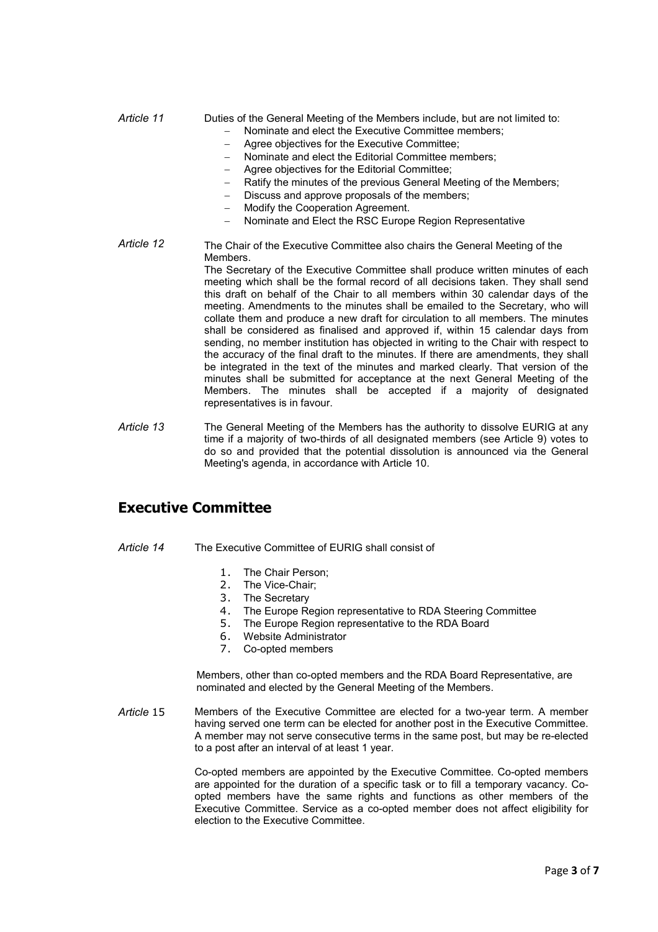*Article 11* Duties of the General Meeting of the Members include, but are not limited to:

- − Nominate and elect the Executive Committee members;
- − Agree objectives for the Executive Committee;
- − Nominate and elect the Editorial Committee members;
- − Agree objectives for the Editorial Committee;
- Ratify the minutes of the previous General Meeting of the Members;
- Discuss and approve proposals of the members;
- − Modify the Cooperation Agreement.
- − Nominate and Elect the RSC Europe Region Representative
- *Article 12* The Chair of the Executive Committee also chairs the General Meeting of the Members. The Secretary of the Executive Committee shall produce written minutes of each meeting which shall be the formal record of all decisions taken. They shall send this draft on behalf of the Chair to all members within 30 calendar days of the meeting. Amendments to the minutes shall be emailed to the Secretary, who will collate them and produce a new draft for circulation to all members. The minutes shall be considered as finalised and approved if, within 15 calendar days from sending, no member institution has objected in writing to the Chair with respect to the accuracy of the final draft to the minutes. If there are amendments, they shall be integrated in the text of the minutes and marked clearly. That version of the minutes shall be submitted for acceptance at the next General Meeting of the Members. The minutes shall be accepted if a majority of designated representatives is in favour.
- *Article 13* The General Meeting of the Members has the authority to dissolve EURIG at any time if a majority of two-thirds of all designated members (see Article 9) votes to do so and provided that the potential dissolution is announced via the General Meeting's agenda, in accordance with Article 10.

# **Executive Committee**

- *Article 14* The Executive Committee of EURIG shall consist of
	- 1. The Chair Person;
	- 2. The Vice-Chair;
	- 3. The Secretary
	- 4. The Europe Region representative to RDA Steering Committee
	- 5. The Europe Region representative to the RDA Board
	- 6. Website Administrator
	- 7. Co-opted members

Members, other than co-opted members and the RDA Board Representative, are nominated and elected by the General Meeting of the Members.

*Article* 15 Members of the Executive Committee are elected for a two-year term. A member having served one term can be elected for another post in the Executive Committee. A member may not serve consecutive terms in the same post, but may be re-elected to a post after an interval of at least 1 year.

> Co-opted members are appointed by the Executive Committee. Co-opted members are appointed for the duration of a specific task or to fill a temporary vacancy. Coopted members have the same rights and functions as other members of the Executive Committee. Service as a co-opted member does not affect eligibility for election to the Executive Committee.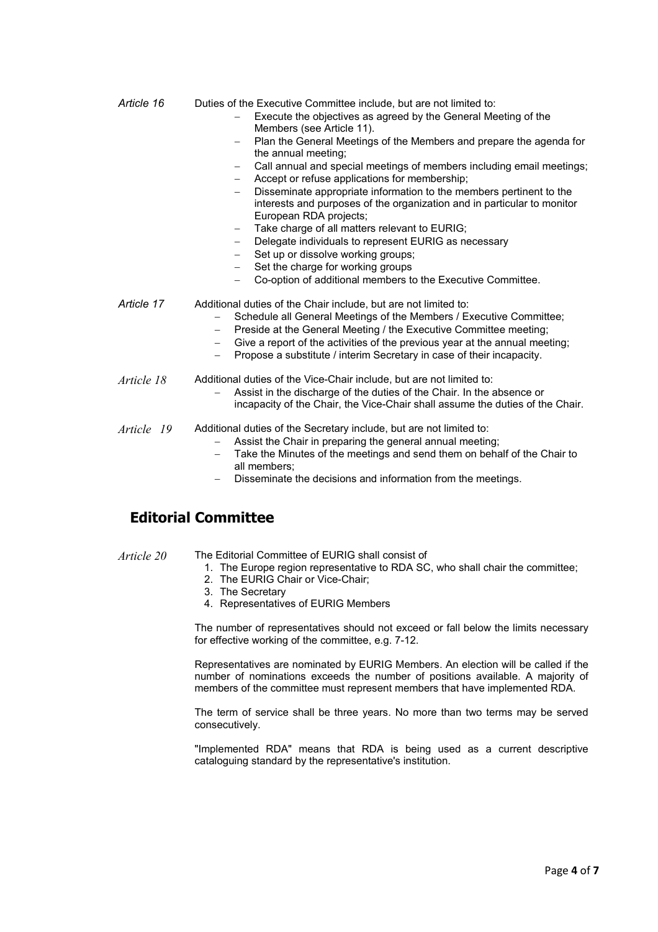| Article 16      | Duties of the Executive Committee include, but are not limited to:<br>Execute the objectives as agreed by the General Meeting of the<br>Members (see Article 11).                                                                                                                                                                                                                                                                                       |
|-----------------|---------------------------------------------------------------------------------------------------------------------------------------------------------------------------------------------------------------------------------------------------------------------------------------------------------------------------------------------------------------------------------------------------------------------------------------------------------|
|                 | Plan the General Meetings of the Members and prepare the agenda for<br>the annual meeting;                                                                                                                                                                                                                                                                                                                                                              |
|                 | Call annual and special meetings of members including email meetings;<br>$ \,$<br>Accept or refuse applications for membership;<br>$\equiv$                                                                                                                                                                                                                                                                                                             |
|                 | Disseminate appropriate information to the members pertinent to the<br>interests and purposes of the organization and in particular to monitor<br>European RDA projects;                                                                                                                                                                                                                                                                                |
|                 | Take charge of all matters relevant to EURIG;<br>$-$                                                                                                                                                                                                                                                                                                                                                                                                    |
|                 | Delegate individuals to represent EURIG as necessary<br>$-$                                                                                                                                                                                                                                                                                                                                                                                             |
|                 | Set up or dissolve working groups;                                                                                                                                                                                                                                                                                                                                                                                                                      |
|                 | Set the charge for working groups                                                                                                                                                                                                                                                                                                                                                                                                                       |
|                 | Co-option of additional members to the Executive Committee.                                                                                                                                                                                                                                                                                                                                                                                             |
| Article 17      | Additional duties of the Chair include, but are not limited to:<br>Schedule all General Meetings of the Members / Executive Committee;<br>$-$<br>Preside at the General Meeting / the Executive Committee meeting;<br>$\overline{\phantom{m}}$<br>Give a report of the activities of the previous year at the annual meeting;<br>$\overline{\phantom{0}}$<br>Propose a substitute / interim Secretary in case of their incapacity.<br>$\qquad \qquad -$ |
| Article 18      | Additional duties of the Vice-Chair include, but are not limited to:<br>Assist in the discharge of the duties of the Chair. In the absence or<br>incapacity of the Chair, the Vice-Chair shall assume the duties of the Chair.                                                                                                                                                                                                                          |
| Article<br>- 19 | Additional duties of the Secretary include, but are not limited to:                                                                                                                                                                                                                                                                                                                                                                                     |

- *Article 19* Additional duties of the Secretary include, but are not limited to:
	- Assist the Chair in preparing the general annual meeting;
	- Take the Minutes of the meetings and send them on behalf of the Chair to all members;
	- Disseminate the decisions and information from the meetings.

# **Editorial Committee**

- 
- *Article 20* The Editorial Committee of EURIG shall consist of
	- 1. The Europe region representative to RDA SC, who shall chair the committee;
	- 2. The EURIG Chair or Vice-Chair;
	- 3. The Secretary
	- 4. Representatives of EURIG Members

The number of representatives should not exceed or fall below the limits necessary for effective working of the committee, e.g. 7-12.

Representatives are nominated by EURIG Members. An election will be called if the number of nominations exceeds the number of positions available. A majority of members of the committee must represent members that have implemented RDA.

The term of service shall be three years. No more than two terms may be served consecutively.

"Implemented RDA" means that RDA is being used as a current descriptive cataloguing standard by the representative's institution.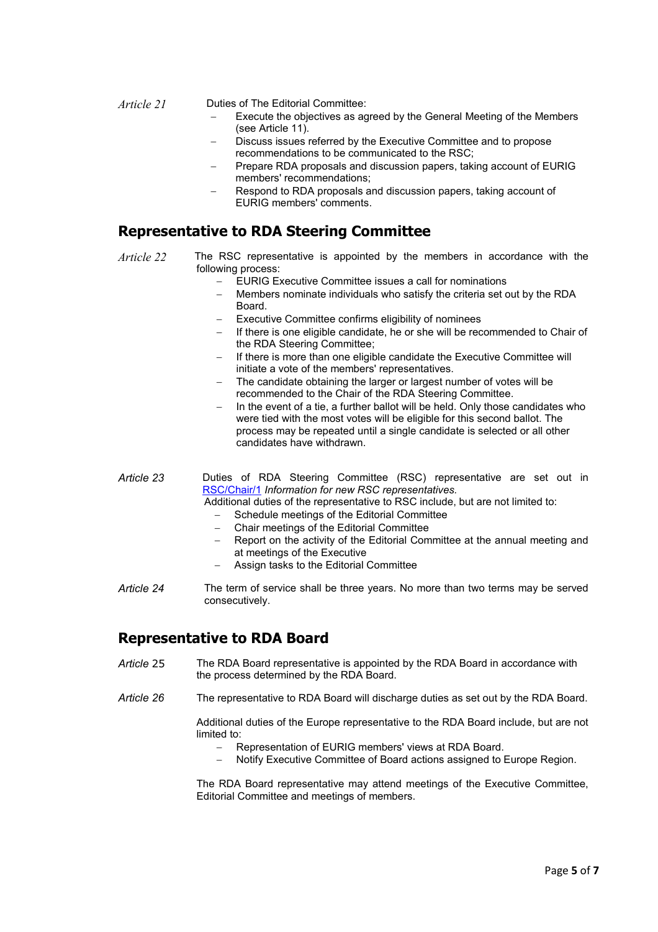*Article 21* Duties of The Editorial Committee:

- Execute the objectives as agreed by the General Meeting of the Members (see Article 11).
- Discuss issues referred by the Executive Committee and to propose recommendations to be communicated to the RSC;
- − Prepare RDA proposals and discussion papers, taking account of EURIG members' recommendations;
- Respond to RDA proposals and discussion papers, taking account of EURIG members' comments.

# **Representative to RDA Steering Committee**

- *Article 22* The RSC representative is appointed by the members in accordance with the following process:
	- EURIG Executive Committee issues a call for nominations
	- Members nominate individuals who satisfy the criteria set out by the RDA Board.
	- Executive Committee confirms eligibility of nominees
	- If there is one eligible candidate, he or she will be recommended to Chair of the RDA Steering Committee;
	- − If there is more than one eligible candidate the Executive Committee will initiate a vote of the members' representatives.
	- The candidate obtaining the larger or largest number of votes will be recommended to the Chair of the RDA Steering Committee.
	- − In the event of a tie, a further ballot will be held. Only those candidates who were tied with the most votes will be eligible for this second ballot. The process may be repeated until a single candidate is selected or all other candidates have withdrawn.

Article 23 **Duties of RDA Steering Committee (RSC) representative are set out in** RSC/Chair/1 *Information for new RSC representatives.*

Additional duties of the representative to RSC include, but are not limited to:

- Schedule meetings of the Editorial Committee
- − Chair meetings of the Editorial Committee
- − Report on the activity of the Editorial Committee at the annual meeting and at meetings of the Executive
- − Assign tasks to the Editorial Committee
- *Article 24* The term of service shall be three years. No more than two terms may be served consecutively.

# **Representative to RDA Board**

- *Article* 25 The RDA Board representative is appointed by the RDA Board in accordance with the process determined by the RDA Board.
- *Article 26* The representative to RDA Board will discharge duties as set out by the RDA Board.

Additional duties of the Europe representative to the RDA Board include, but are not limited to:

- − Representation of EURIG members' views at RDA Board.
- − Notify Executive Committee of Board actions assigned to Europe Region.

The RDA Board representative may attend meetings of the Executive Committee, Editorial Committee and meetings of members.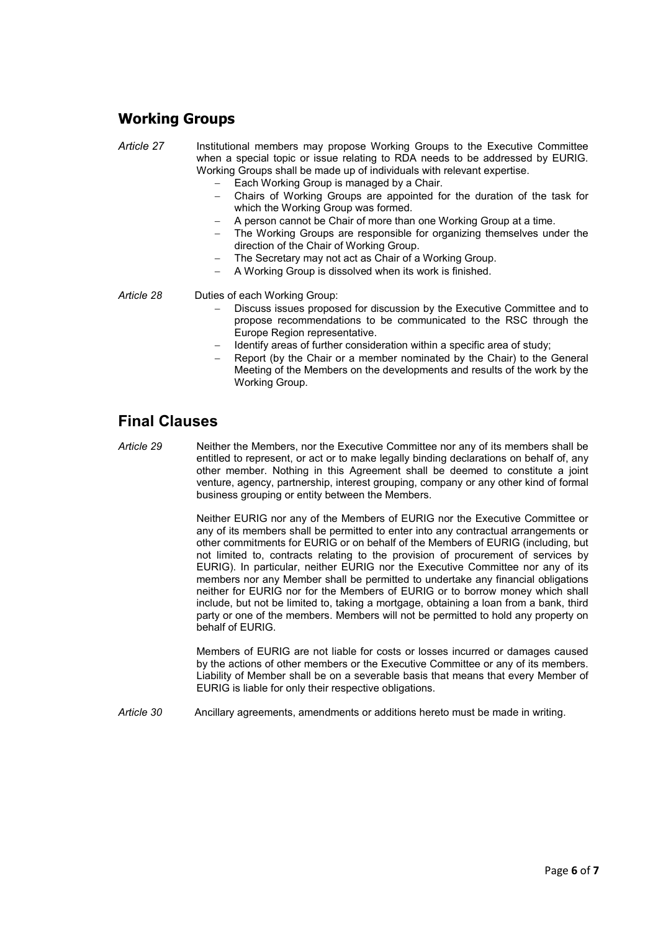# **Working Groups**

*Article 27* Institutional members may propose Working Groups to the Executive Committee when a special topic or issue relating to RDA needs to be addressed by EURIG. Working Groups shall be made up of individuals with relevant expertise.

- Each Working Group is managed by a Chair.
- − Chairs of Working Groups are appointed for the duration of the task for which the Working Group was formed.
- − A person cannot be Chair of more than one Working Group at a time.
- The Working Groups are responsible for organizing themselves under the direction of the Chair of Working Group.
- The Secretary may not act as Chair of a Working Group.
- − A Working Group is dissolved when its work is finished.

- *Article 28* Duties of each Working Group:
	- Discuss issues proposed for discussion by the Executive Committee and to propose recommendations to be communicated to the RSC through the Europe Region representative.
	- − Identify areas of further consideration within a specific area of study;
	- Report (by the Chair or a member nominated by the Chair) to the General Meeting of the Members on the developments and results of the work by the Working Group.

# **Final Clauses**

*Article 29* Neither the Members, nor the Executive Committee nor any of its members shall be entitled to represent, or act or to make legally binding declarations on behalf of, any other member. Nothing in this Agreement shall be deemed to constitute a joint venture, agency, partnership, interest grouping, company or any other kind of formal business grouping or entity between the Members.

> Neither EURIG nor any of the Members of EURIG nor the Executive Committee or any of its members shall be permitted to enter into any contractual arrangements or other commitments for EURIG or on behalf of the Members of EURIG (including, but not limited to, contracts relating to the provision of procurement of services by EURIG). In particular, neither EURIG nor the Executive Committee nor any of its members nor any Member shall be permitted to undertake any financial obligations neither for EURIG nor for the Members of EURIG or to borrow money which shall include, but not be limited to, taking a mortgage, obtaining a loan from a bank, third party or one of the members. Members will not be permitted to hold any property on behalf of EURIG.

> Members of EURIG are not liable for costs or losses incurred or damages caused by the actions of other members or the Executive Committee or any of its members. Liability of Member shall be on a severable basis that means that every Member of EURIG is liable for only their respective obligations.

*Article 30* Ancillary agreements, amendments or additions hereto must be made in writing.